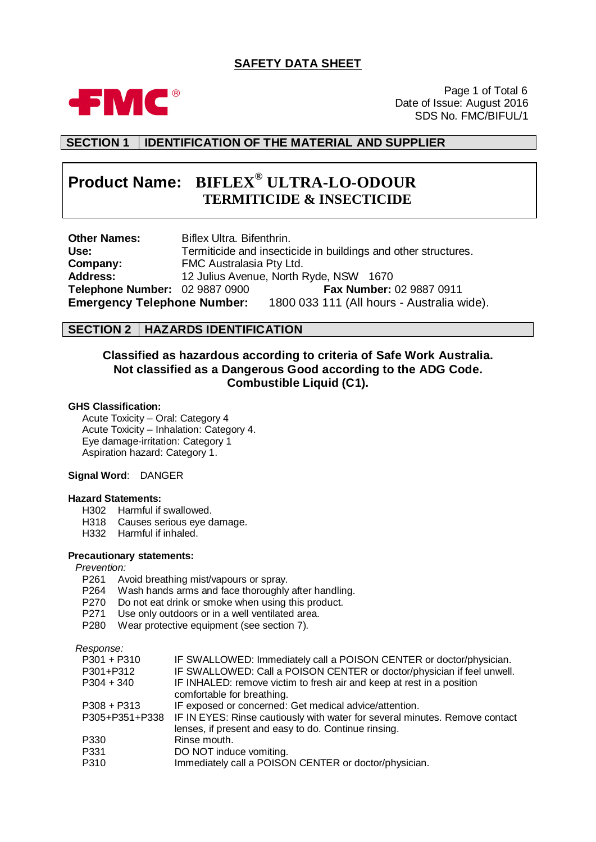# **SAFETY DATA SHEET**



Page 1 of Total 6 Date of Issue: August 2016 SDS No. FMC/BIFUL/1

# **SECTION 1 IDENTIFICATION OF THE MATERIAL AND SUPPLIER**

# **Product Name: BIFLEX® ULTRA-LO-ODOUR TERMITICIDE & INSECTICIDE**

**Other Names:** Biflex Ultra. Bifenthrin. **Use:** Termiticide and insecticide in buildings and other structures. **Company:** FMC Australasia Pty Ltd. **Address:** 12 Julius Avenue, North Ryde, NSW 1670 **Telephone Number:** 02 9887 0900 **Fax Number:** 02 9887 0911 **Emergency Telephone Number:** 1800 033 111 (All hours - Australia wide).

## **SECTION 2 HAZARDS IDENTIFICATION**

# **Classified as hazardous according to criteria of Safe Work Australia. Not classified as a Dangerous Good according to the ADG Code. Combustible Liquid (C1).**

#### **GHS Classification:**

Acute Toxicity – Oral: Category 4 Acute Toxicity – Inhalation: Category 4. Eye damage-irritation: Category 1 Aspiration hazard: Category 1.

### **Signal Word**: DANGER

### **Hazard Statements:**

- H302 Harmful if swallowed.
- H318 Causes serious eye damage.
- H332 Harmful if inhaled.
- **Precautionary statements:**

#### *Prevention:*

- P261 Avoid breathing mist/vapours or spray.
- P264 Wash hands arms and face thoroughly after handling.
- P270 Do not eat drink or smoke when using this product.
- P271 Use only outdoors or in a well ventilated area.
- P280 Wear protective equipment (see section 7).

*Response:*

| IF SWALLOWED: Immediately call a POISON CENTER or doctor/physician.         |
|-----------------------------------------------------------------------------|
| IF SWALLOWED: Call a POISON CENTER or doctor/physician if feel unwell.      |
| IF INHALED: remove victim to fresh air and keep at rest in a position       |
| comfortable for breathing.                                                  |
| IF exposed or concerned: Get medical advice/attention.                      |
| IF IN EYES: Rinse cautiously with water for several minutes. Remove contact |
| lenses, if present and easy to do. Continue rinsing.                        |
| Rinse mouth.                                                                |
| DO NOT induce vomiting.                                                     |
| Immediately call a POISON CENTER or doctor/physician.                       |
|                                                                             |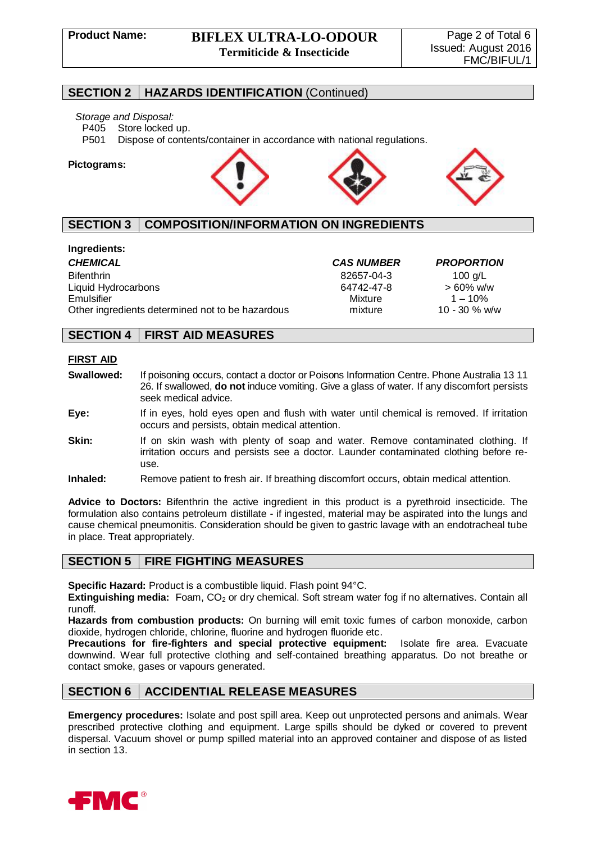### **SECTION 2 HAZARDS IDENTIFICATION** (Continued)

#### *Storage and Disposal:*

P405 Store locked up.

P501 Dispose of contents/container in accordance with national regulations.

#### **Pictograms:**



# **SECTION 3 COMPOSITION/INFORMATION ON INGREDIENTS**

### **Ingredients:**

*CHEMICAL CAS NUMBER PROPORTION* Bifenthrin 82657-04-3 100 g/L Liquid Hydrocarbons 64742-47-8 > 60% w/w Emulsifier Mixture 1 – 10% Other ingredients determined not to be hazardous mixture 10 - 30 % w/w

# **SECTION 4 FIRST AID MEASURES**

### **FIRST AID**

- **Swallowed:** If poisoning occurs, contact a doctor or Poisons Information Centre. Phone Australia 13 11 26. If swallowed, **do not** induce vomiting. Give a glass of water. If any discomfort persists seek medical advice.
- **Eye:** If in eyes, hold eyes open and flush with water until chemical is removed. If irritation occurs and persists, obtain medical attention.
- **Skin:** If on skin wash with plenty of soap and water. Remove contaminated clothing. If irritation occurs and persists see a doctor. Launder contaminated clothing before reuse.
- **Inhaled:** Remove patient to fresh air. If breathing discomfort occurs, obtain medical attention.

**Advice to Doctors:** Bifenthrin the active ingredient in this product is a pyrethroid insecticide. The formulation also contains petroleum distillate - if ingested, material may be aspirated into the lungs and cause chemical pneumonitis. Consideration should be given to gastric lavage with an endotracheal tube in place. Treat appropriately.

## **SECTION 5 FIRE FIGHTING MEASURES**

**Specific Hazard:** Product is a combustible liquid. Flash point 94°C.

**Extinguishing media:** Foam, CO<sub>2</sub> or dry chemical. Soft stream water fog if no alternatives. Contain all runoff.

**Hazards from combustion products:** On burning will emit toxic fumes of carbon monoxide, carbon dioxide, hydrogen chloride, chlorine, fluorine and hydrogen fluoride etc.

**Precautions for fire-fighters and special protective equipment:** Isolate fire area. Evacuate downwind. Wear full protective clothing and self-contained breathing apparatus. Do not breathe or contact smoke, gases or vapours generated.

## **SECTION 6 ACCIDENTIAL RELEASE MEASURES**

**Emergency procedures:** Isolate and post spill area. Keep out unprotected persons and animals. Wear prescribed protective clothing and equipment. Large spills should be dyked or covered to prevent dispersal. Vacuum shovel or pump spilled material into an approved container and dispose of as listed in section 13.

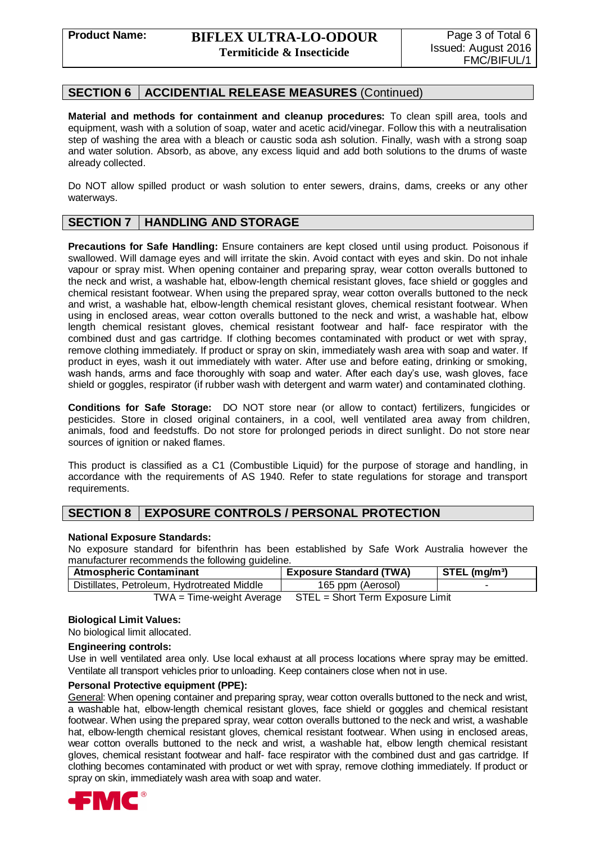# **SECTION 6 ACCIDENTIAL RELEASE MEASURES** (Continued)

**Material and methods for containment and cleanup procedures:** To clean spill area, tools and equipment, wash with a solution of soap, water and acetic acid/vinegar. Follow this with a neutralisation step of washing the area with a bleach or caustic soda ash solution. Finally, wash with a strong soap and water solution. Absorb, as above, any excess liquid and add both solutions to the drums of waste already collected.

Do NOT allow spilled product or wash solution to enter sewers, drains, dams, creeks or any other waterways.

# **SECTION 7 HANDLING AND STORAGE**

**Precautions for Safe Handling:** Ensure containers are kept closed until using product. Poisonous if swallowed. Will damage eyes and will irritate the skin. Avoid contact with eyes and skin. Do not inhale vapour or spray mist. When opening container and preparing spray, wear cotton overalls buttoned to the neck and wrist, a washable hat, elbow-length chemical resistant gloves, face shield or goggles and chemical resistant footwear. When using the prepared spray, wear cotton overalls buttoned to the neck and wrist, a washable hat, elbow-length chemical resistant gloves, chemical resistant footwear. When using in enclosed areas, wear cotton overalls buttoned to the neck and wrist, a washable hat, elbow length chemical resistant gloves, chemical resistant footwear and half- face respirator with the combined dust and gas cartridge. If clothing becomes contaminated with product or wet with spray, remove clothing immediately. If product or spray on skin, immediately wash area with soap and water. If product in eyes, wash it out immediately with water. After use and before eating, drinking or smoking, wash hands, arms and face thoroughly with soap and water. After each day's use, wash gloves, face shield or goggles, respirator (if rubber wash with detergent and warm water) and contaminated clothing.

**Conditions for Safe Storage:** DO NOT store near (or allow to contact) fertilizers, fungicides or pesticides. Store in closed original containers, in a cool, well ventilated area away from children, animals, food and feedstuffs. Do not store for prolonged periods in direct sunlight. Do not store near sources of ignition or naked flames.

This product is classified as a C1 (Combustible Liquid) for the purpose of storage and handling, in accordance with the requirements of AS 1940. Refer to state regulations for storage and transport requirements.

# **SECTION 8 EXPOSURE CONTROLS / PERSONAL PROTECTION**

### **National Exposure Standards:**

No exposure standard for bifenthrin has been established by Safe Work Australia however the manufacturer recommends the following guideline.

| <b>Atmospheric Contaminant</b>                                 | <b>Exposure Standard (TWA)</b> | $STEL$ (mg/m <sup>3</sup> ) |
|----------------------------------------------------------------|--------------------------------|-----------------------------|
| Distillates, Petroleum, Hydrotreated Middle                    | 165 ppm (Aerosol)              |                             |
| $TWA = Time-weight Average$ $STEL = Short Term Exposure Limit$ |                                |                             |

### **Biological Limit Values:**

No biological limit allocated.

### **Engineering controls:**

Use in well ventilated area only. Use local exhaust at all process locations where spray may be emitted. Ventilate all transport vehicles prior to unloading. Keep containers close when not in use.

### **Personal Protective equipment (PPE):**

General: When opening container and preparing spray, wear cotton overalls buttoned to the neck and wrist, a washable hat, elbow-length chemical resistant gloves, face shield or goggles and chemical resistant footwear. When using the prepared spray, wear cotton overalls buttoned to the neck and wrist, a washable hat, elbow-length chemical resistant gloves, chemical resistant footwear. When using in enclosed areas, wear cotton overalls buttoned to the neck and wrist, a washable hat, elbow length chemical resistant gloves, chemical resistant footwear and half- face respirator with the combined dust and gas cartridge. If clothing becomes contaminated with product or wet with spray, remove clothing immediately. If product or spray on skin, immediately wash area with soap and water.

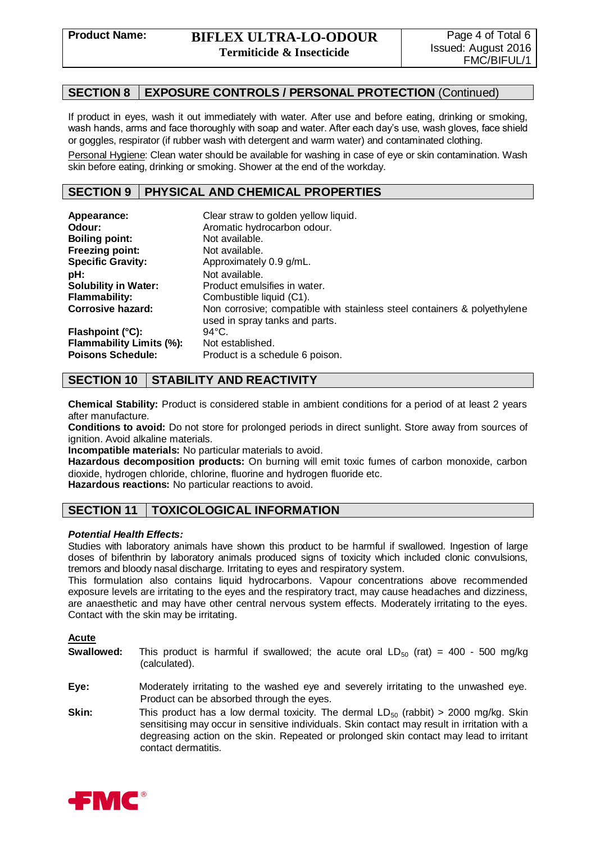## **SECTION 8 EXPOSURE CONTROLS / PERSONAL PROTECTION** (Continued)

If product in eyes, wash it out immediately with water. After use and before eating, drinking or smoking, wash hands, arms and face thoroughly with soap and water. After each day's use, wash gloves, face shield or goggles, respirator (if rubber wash with detergent and warm water) and contaminated clothing.

Personal Hygiene: Clean water should be available for washing in case of eye or skin contamination. Wash skin before eating, drinking or smoking. Shower at the end of the workday.

### **SECTION 9 PHYSICAL AND CHEMICAL PROPERTIES**

| Appearance:                     | Clear straw to golden yellow liquid.                                                                       |
|---------------------------------|------------------------------------------------------------------------------------------------------------|
| Odour:                          | Aromatic hydrocarbon odour.                                                                                |
| <b>Boiling point:</b>           | Not available.                                                                                             |
| <b>Freezing point:</b>          | Not available.                                                                                             |
| <b>Specific Gravity:</b>        | Approximately 0.9 g/mL.                                                                                    |
| pH:                             | Not available.                                                                                             |
| <b>Solubility in Water:</b>     | Product emulsifies in water.                                                                               |
| <b>Flammability:</b>            | Combustible liquid (C1).                                                                                   |
| <b>Corrosive hazard:</b>        | Non corrosive; compatible with stainless steel containers & polyethylene<br>used in spray tanks and parts. |
| Flashpoint (°C):                | $94^{\circ}$ C.                                                                                            |
| <b>Flammability Limits (%):</b> | Not established.                                                                                           |
| <b>Poisons Schedule:</b>        | Product is a schedule 6 poison.                                                                            |

# **SECTION 10 STABILITY AND REACTIVITY**

**Chemical Stability:** Product is considered stable in ambient conditions for a period of at least 2 years after manufacture.

**Conditions to avoid:** Do not store for prolonged periods in direct sunlight. Store away from sources of ignition. Avoid alkaline materials.

**Incompatible materials:** No particular materials to avoid.

**Hazardous decomposition products:** On burning will emit toxic fumes of carbon monoxide, carbon dioxide, hydrogen chloride, chlorine, fluorine and hydrogen fluoride etc.

**Hazardous reactions:** No particular reactions to avoid.

## **SECTION 11 TOXICOLOGICAL INFORMATION**

### *Potential Health Effects:*

Studies with laboratory animals have shown this product to be harmful if swallowed. Ingestion of large doses of bifenthrin by laboratory animals produced signs of toxicity which included clonic convulsions, tremors and bloody nasal discharge. Irritating to eyes and respiratory system.

This formulation also contains liquid hydrocarbons. Vapour concentrations above recommended exposure levels are irritating to the eyes and the respiratory tract, may cause headaches and dizziness, are anaesthetic and may have other central nervous system effects. Moderately irritating to the eyes. Contact with the skin may be irritating.

### **Acute**

- **Swallowed:** This product is harmful if swallowed; the acute oral  $LD_{50}$  (rat) = 400 500 mg/kg (calculated).
- **Eye:** Moderately irritating to the washed eye and severely irritating to the unwashed eye. Product can be absorbed through the eyes.
- **Skin:** This product has a low dermal toxicity. The dermal LD<sub>50</sub> (rabbit) > 2000 mg/kg. Skin sensitising may occur in sensitive individuals. Skin contact may result in irritation with a degreasing action on the skin. Repeated or prolonged skin contact may lead to irritant contact dermatitis.

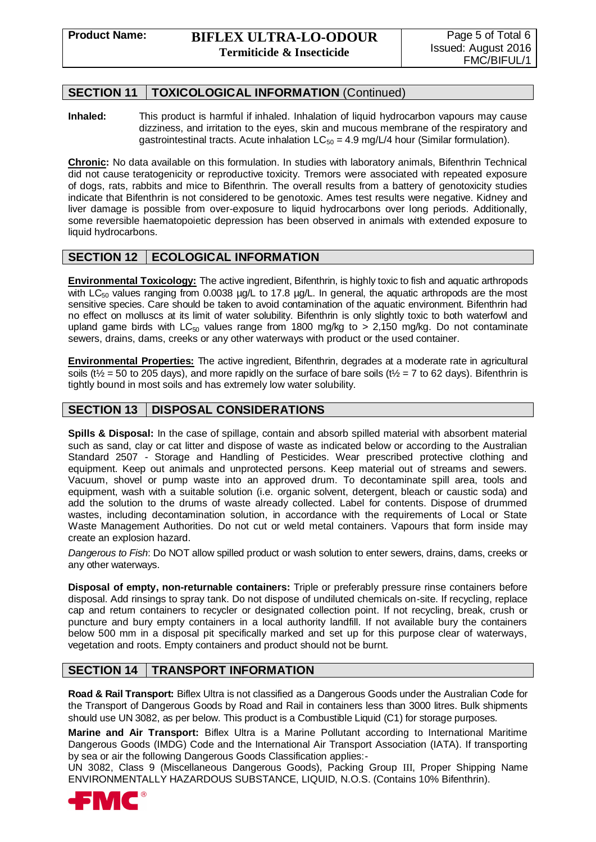# **SECTION 11 TOXICOLOGICAL INFORMATION** (Continued)

**Inhaled:** This product is harmful if inhaled. Inhalation of liquid hydrocarbon vapours may cause dizziness, and irritation to the eyes, skin and mucous membrane of the respiratory and gastrointestinal tracts. Acute inhalation  $LC_{50} = 4.9$  mg/L/4 hour (Similar formulation).

**Chronic:** No data available on this formulation. In studies with laboratory animals, Bifenthrin Technical did not cause teratogenicity or reproductive toxicity. Tremors were associated with repeated exposure of dogs, rats, rabbits and mice to Bifenthrin. The overall results from a battery of genotoxicity studies indicate that Bifenthrin is not considered to be genotoxic. Ames test results were negative. Kidney and liver damage is possible from over-exposure to liquid hydrocarbons over long periods. Additionally, some reversible haematopoietic depression has been observed in animals with extended exposure to liquid hydrocarbons.

## **SECTION 12 ECOLOGICAL INFORMATION**

**Environmental Toxicology:** The active ingredient, Bifenthrin, is highly toxic to fish and aquatic arthropods with  $LC_{50}$  values ranging from 0.0038  $\mu$ g/L to 17.8  $\mu$ g/L. In general, the aquatic arthropods are the most sensitive species. Care should be taken to avoid contamination of the aquatic environment. Bifenthrin had no effect on molluscs at its limit of water solubility. Bifenthrin is only slightly toxic to both waterfowl and upland game birds with  $LC_{50}$  values range from 1800 mg/kg to > 2,150 mg/kg. Do not contaminate sewers, drains, dams, creeks or any other waterways with product or the used container.

**Environmental Properties:** The active ingredient, Bifenthrin, degrades at a moderate rate in agricultural soils (t<sup> $\frac{1}{2}$ </sup> = 50 to 205 days), and more rapidly on the surface of bare soils (t<sup> $\frac{1}{2}$ </sup> = 7 to 62 days). Bifenthrin is tightly bound in most soils and has extremely low water solubility.

# **SECTION 13 DISPOSAL CONSIDERATIONS**

**Spills & Disposal:** In the case of spillage, contain and absorb spilled material with absorbent material such as sand, clay or cat litter and dispose of waste as indicated below or according to the Australian Standard 2507 - Storage and Handling of Pesticides. Wear prescribed protective clothing and equipment. Keep out animals and unprotected persons. Keep material out of streams and sewers. Vacuum, shovel or pump waste into an approved drum. To decontaminate spill area, tools and equipment, wash with a suitable solution (i.e. organic solvent, detergent, bleach or caustic soda) and add the solution to the drums of waste already collected. Label for contents. Dispose of drummed wastes, including decontamination solution, in accordance with the requirements of Local or State Waste Management Authorities. Do not cut or weld metal containers. Vapours that form inside may create an explosion hazard.

*Dangerous to Fish*: Do NOT allow spilled product or wash solution to enter sewers, drains, dams, creeks or any other waterways.

**Disposal of empty, non-returnable containers:** Triple or preferably pressure rinse containers before disposal. Add rinsings to spray tank. Do not dispose of undiluted chemicals on-site. If recycling, replace cap and return containers to recycler or designated collection point. If not recycling, break, crush or puncture and bury empty containers in a local authority landfill. If not available bury the containers below 500 mm in a disposal pit specifically marked and set up for this purpose clear of waterways, vegetation and roots. Empty containers and product should not be burnt.

# **SECTION 14 TRANSPORT INFORMATION**

**Road & Rail Transport:** Biflex Ultra is not classified as a Dangerous Goods under the Australian Code for the Transport of Dangerous Goods by Road and Rail in containers less than 3000 litres. Bulk shipments should use UN 3082, as per below. This product is a Combustible Liquid (C1) for storage purposes.

**Marine and Air Transport:** Biflex Ultra is a Marine Pollutant according to International Maritime Dangerous Goods (IMDG) Code and the International Air Transport Association (IATA). If transporting by sea or air the following Dangerous Goods Classification applies:-

UN 3082, Class 9 (Miscellaneous Dangerous Goods), Packing Group III, Proper Shipping Name ENVIRONMENTALLY HAZARDOUS SUBSTANCE, LIQUID, N.O.S. (Contains 10% Bifenthrin).